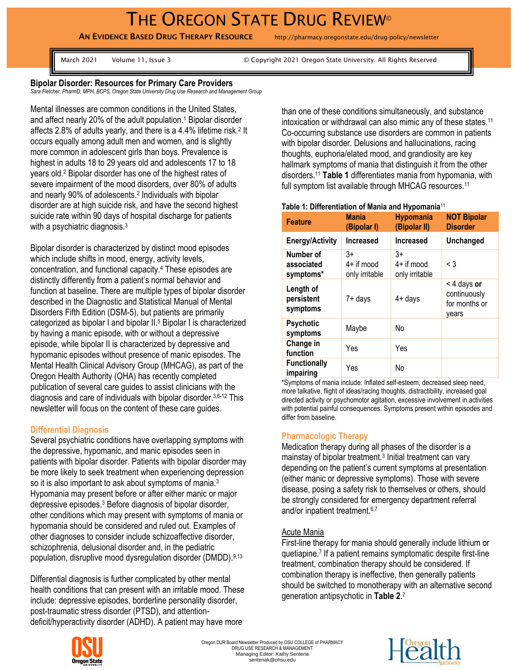# THE OREGON STATE DRUG REVIEW®

AN EVIDENCE BASED DRUG THERAPY RESOURCE http://pharmacy.oregonstate.edu/drug-policy/newsletter

March 2021 Volume 11, Issue 3 © Copyright 2021 Oregon State University. All Rights Reserved

#### **Bipolar Disorder: Resources for Primary Care Providers**

*Sara Fletcher, PharmD, MPH, BCPS, Oregon State University Drug Use Research and Management Group*

Mental illnesses are common conditions in the United States, and affect nearly 20% of the adult population.<sup>1</sup> Bipolar disorder affects 2.8% of adults yearly, and there is a 4.4% lifetime risk.<sup>2</sup> It occurs equally among adult men and women, and is slightly more common in adolescent girls than boys. Prevalence is highest in adults 18 to 29 years old and adolescents 17 to 18 years old.<sup>2</sup> Bipolar disorder has one of the highest rates of severe impairment of the mood disorders, over 80% of adults and nearly 90% of adolescents. 2 Individuals with bipolar disorder are at high suicide risk, and have the second highest suicide rate within 90 days of hospital discharge for patients with a psychiatric diagnosis. $3$ 

Bipolar disorder is characterized by distinct mood episodes which include shifts in mood, energy, activity levels, concentration, and functional capacity.<sup>4</sup> These episodes are distinctly differently from a patient's normal behavior and function at baseline. There are multiple types of bipolar disorder described in the Diagnostic and Statistical Manual of Mental Disorders Fifth Edition (DSM-5), but patients are primarily categorized as bipolar I and bipolar II.<sup>5</sup> Bipolar I is characterized by having a manic episode, with or without a depressive episode, while bipolar II is characterized by depressive and hypomanic episodes without presence of manic episodes. The Mental Health Clinical Advisory Group (MHCAG), as part of the Oregon Health Authority (OHA) has recently completed publication of several care guides to assist clinicians with the diagnosis and care of individuals with bipolar disorder.<sup>3,6-12</sup> This newsletter will focus on the content of these care guides.

## **Differential Diagnosis**

Several psychiatric conditions have overlapping symptoms with the depressive, hypomanic, and manic episodes seen in patients with bipolar disorder. Patients with bipolar disorder may be more likely to seek treatment when experiencing depression so it is also important to ask about symptoms of mania.<sup>3</sup> Hypomania may present before or after either manic or major depressive episodes.<sup>3</sup> Before diagnosis of bipolar disorder, other conditions which may present with symptoms of mania or hypomania should be considered and ruled out. Examples of other diagnoses to consider include schizoaffective disorder, schizophrenia, delusional disorder and, in the pediatric population, disruptive mood dysregulation disorder (DMDD). 9,13

Differential diagnosis is further complicated by other mental health conditions that can present with an irritable mood. These include: depressive episodes, borderline personality disorder, post-traumatic stress disorder (PTSD), and attentiondeficit/hyperactivity disorder (ADHD). A patient may have more



### **Table 1: Differentiation of Mania and Hypomania**<sup>11</sup>

| <b>Feature</b>                       | <b>Mania</b><br>(Bipolar I)            | <b>Hypomania</b><br>(Bipolar II)       | <b>NOT Bipolar</b><br><b>Disorder</b>                 |
|--------------------------------------|----------------------------------------|----------------------------------------|-------------------------------------------------------|
| <b>Energy/Activity</b>               | <b>Increased</b>                       | <b>Increased</b>                       | <b>Unchanged</b>                                      |
| Number of<br>associated<br>symptoms* | $3+$<br>$4+$ if mood<br>only irritable | $3+$<br>$4+$ if mood<br>only irritable | $\leq$ 3                                              |
| Length of<br>persistent<br>symptoms  | 7+ days                                | $4+$ days                              | < 4 days or<br>continuously<br>for months or<br>vears |
| <b>Psychotic</b><br>symptoms         | Maybe                                  | No                                     |                                                       |
| Change in<br>function                | Yes                                    | Yes                                    |                                                       |
| <b>Functionally</b><br>impairing     | Yes                                    | No                                     |                                                       |

\*Symptoms of mania include: Inflated self-esteem, decreased sleep need, more talkative, flight of ideas/racing thoughts, distractibility, increased goal directed activity or psychomotor agitation, excessive involvement in activities with potential painful consequences. Symptoms present within episodes and differ from baseline.

## **Pharmacologic Therapy**

Medication therapy during all phases of the disorder is a mainstay of bipolar treatment.<sup>3</sup> Initial treatment can vary depending on the patient's current symptoms at presentation (either manic or depressive symptoms). Those with severe disease, posing a safety risk to themselves or others, should be strongly considered for emergency department referral and/or inpatient treatment.6,7

#### Acute Mania

First-line therapy for mania should generally include lithium or quetiapine. 7 If a patient remains symptomatic despite first-line treatment, combination therapy should be considered. If combination therapy is ineffective, then generally patients should be switched to monotherapy with an alternative second generation antipsychotic in **Table 2**. 7



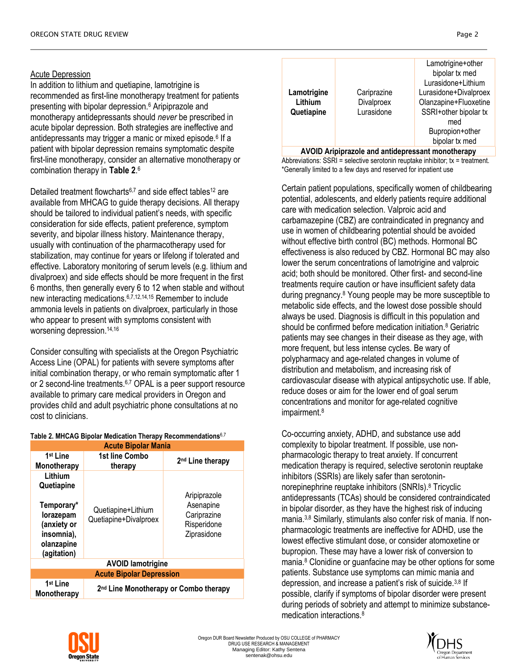## Acute Depression

In addition to lithium and quetiapine, lamotrigine is recommended as first-line monotherapy treatment for patients presenting with bipolar depression.<sup>6</sup> Aripiprazole and monotherapy antidepressants should *never* be prescribed in acute bipolar depression. Both strategies are ineffective and antidepressants may trigger a manic or mixed episode.<sup>6</sup> If a patient with bipolar depression remains symptomatic despite first-line monotherapy, consider an alternative monotherapy or combination therapy in **Table 2**. 6

Detailed treatment flowcharts<sup>6,7</sup> and side effect tables<sup>12</sup> are available from MHCAG to guide therapy decisions. All therapy should be tailored to individual patient's needs, with specific consideration for side effects, patient preference, symptom severity, and bipolar illness history. Maintenance therapy, usually with continuation of the pharmacotherapy used for stabilization, may continue for years or lifelong if tolerated and effective. Laboratory monitoring of serum levels (e.g. lithium and divalproex) and side effects should be more frequent in the first 6 months, then generally every 6 to 12 when stable and without new interacting medications.6,7,12,14,15 Remember to include ammonia levels in patients on divalproex, particularly in those who appear to present with symptoms consistent with worsening depression. 14,16

Consider consulting with specialists at the Oregon Psychiatric Access Line (OPAL) for patients with severe symptoms after initial combination therapy, or who remain symptomatic after 1 or 2 second-line treatments.<sup>6,7</sup> OPAL is a peer support resource available to primary care medical providers in Oregon and provides child and adult psychiatric phone consultations at no cost to clinicians.

| <b>Acute Bipolar Mania</b>                                                                                 |                                                   |                                                                        |  |  |  |
|------------------------------------------------------------------------------------------------------------|---------------------------------------------------|------------------------------------------------------------------------|--|--|--|
| 1 <sup>st</sup> Line<br>Monotherapy                                                                        | 1st line Combo<br>therapy                         | 2 <sup>nd</sup> Line therapy                                           |  |  |  |
| Lithium<br>Quetiapine<br>Temporary*<br>lorazepam<br>(anxiety or<br>insomnia),<br>olanzapine<br>(agitation) | Quetiapine+Lithium<br>Quetiapine+Divalproex       | Aripiprazole<br>Asenapine<br>Cariprazine<br>Risperidone<br>Ziprasidone |  |  |  |
| <b>AVOID lamotrigine</b>                                                                                   |                                                   |                                                                        |  |  |  |
| <b>Acute Bipolar Depression</b>                                                                            |                                                   |                                                                        |  |  |  |
| 1 <sup>st</sup> Line<br>Monotherapy                                                                        | 2 <sup>nd</sup> Line Monotherapy or Combo therapy |                                                                        |  |  |  |

#### **Table 2. MHCAG Bipolar Medication Therapy Recommendations**6,7

|             |             | Lamotrigine+other     |
|-------------|-------------|-----------------------|
|             |             | bipolar tx med        |
|             |             | Lurasidone+Lithium    |
| Lamotrigine | Cariprazine | Lurasidone+Divalproex |
| Lithium     | Divalproex  | Olanzapine+Fluoxetine |
| Quetiapine  | Lurasidone  | SSRI+other bipolar tx |
|             |             | med                   |
|             |             | Bupropion+other       |
|             |             | bipolar tx med        |
|             |             |                       |

**AVOID Aripiprazole and antidepressant monotherapy** Abbreviations: SSRI = selective serotonin reuptake inhibitor; tx = treatment. \*Generally limited to a few days and reserved for inpatient use

Certain patient populations, specifically women of childbearing potential, adolescents, and elderly patients require additional care with medication selection. Valproic acid and carbamazepine (CBZ) are contraindicated in pregnancy and use in women of childbearing potential should be avoided without effective birth control (BC) methods. Hormonal BC effectiveness is also reduced by CBZ. Hormonal BC may also lower the serum concentrations of lamotrigine and valproic acid; both should be monitored. Other first- and second-line treatments require caution or have insufficient safety data during pregnancy.<sup>8</sup> Young people may be more susceptible to metabolic side effects, and the lowest dose possible should always be used. Diagnosis is difficult in this population and should be confirmed before medication initiation.<sup>8</sup> Geriatric patients may see changes in their disease as they age, with more frequent, but less intense cycles. Be wary of polypharmacy and age-related changes in volume of distribution and metabolism, and increasing risk of cardiovascular disease with atypical antipsychotic use. If able, reduce doses or aim for the lower end of goal serum concentrations and monitor for age-related cognitive impairment.<sup>8</sup>

Co-occurring anxiety, ADHD, and substance use add complexity to bipolar treatment. If possible, use nonpharmacologic therapy to treat anxiety. If concurrent medication therapy is required, selective serotonin reuptake inhibitors (SSRIs) are likely safer than serotoninnorepinephrine reuptake inhibitors (SNRIs). <sup>8</sup> Tricyclic antidepressants (TCAs) should be considered contraindicated in bipolar disorder, as they have the highest risk of inducing mania.3,8 Similarly, stimulants also confer risk of mania. If nonpharmacologic treatments are ineffective for ADHD, use the lowest effective stimulant dose, or consider atomoxetine or bupropion. These may have a lower risk of conversion to mania.<sup>8</sup> Clonidine or guanfacine may be other options for some patients. Substance use symptoms can mimic mania and depression, and increase a patient's risk of suicide.3,8 If possible, clarify if symptoms of bipolar disorder were present during periods of sobriety and attempt to minimize substancemedication interactions.8



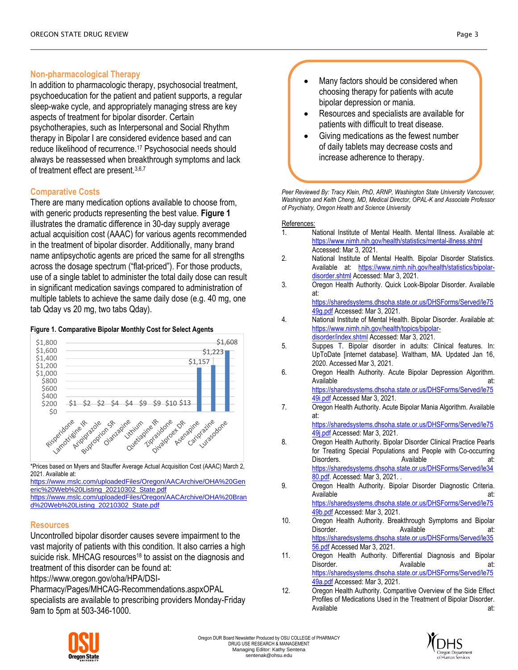## **Non-pharmacological Therapy**

In addition to pharmacologic therapy, psychosocial treatment, psychoeducation for the patient and patient supports, a regular sleep-wake cycle, and appropriately managing stress are key aspects of treatment for bipolar disorder. Certain psychotherapies, such as Interpersonal and Social Rhythm therapy in Bipolar I are considered evidence based and can reduce likelihood of recurrence.<sup>17</sup> Psychosocial needs should always be reassessed when breakthrough symptoms and lack of treatment effect are present.3,6,7

## **Comparative Costs**

There are many medication options available to choose from, with generic products representing the best value. **Figure 1** illustrates the dramatic difference in 30-day supply average actual acquisition cost (AAAC) for various agents recommended in the treatment of bipolar disorder. Additionally, many brand name antipsychotic agents are priced the same for all strengths across the dosage spectrum ("flat-priced"). For those products, use of a single tablet to administer the total daily dose can result in significant medication savings compared to administration of multiple tablets to achieve the same daily dose (e.g. 40 mg, one tab Qday vs 20 mg, two tabs Qday).

#### **Figure 1. Comparative Bipolar Monthly Cost for Select Agents**



\*Prices based on Myers and Stauffer Average Actual Acquisition Cost (AAAC) March 2, 2021. Available at:

[https://www.mslc.com/uploadedFiles/Oregon/AACArchive/OHA%20Gen](https://www.mslc.com/uploadedFiles/Oregon/AACArchive/OHA%20Generic%20Web%20Listing_20210302_State.pdf) [eric%20Web%20Listing\\_20210302\\_State.pdf](https://www.mslc.com/uploadedFiles/Oregon/AACArchive/OHA%20Generic%20Web%20Listing_20210302_State.pdf) [https://www.mslc.com/uploadedFiles/Oregon/AACArchive/OHA%20Bran](https://www.mslc.com/uploadedFiles/Oregon/AACArchive/OHA%20Brand%20Web%20Listing_20210302_State.pdf)

[d%20Web%20Listing\\_20210302\\_State.pdf](https://www.mslc.com/uploadedFiles/Oregon/AACArchive/OHA%20Brand%20Web%20Listing_20210302_State.pdf)

# **Resources**

Uncontrolled bipolar disorder causes severe impairment to the vast majority of patients with this condition. It also carries a high suicide risk. MHCAG resources<sup>18</sup> to assist on the diagnosis and treatment of this disorder can be found at:

https://www.oregon.gov/oha/HPA/DSI-

Pharmacy/Pages/MHCAG-Recommendations.aspxOPAL specialists are available to prescribing providers Monday-Friday 9am to 5pm at 503-346-1000.



- Resources and specialists are available for patients with difficult to treat disease.
- Giving medications as the fewest number of daily tablets may decrease costs and increase adherence to therapy.

Peer Reviewed By: Tracy Klein, PhD, ARNP, Washington State University Vancouver, *Washington and Keith Cheng, MD, Medical Director, OPAL-K and Associate Professor of Psychiatry, Oregon Health and Science University*

#### References:

- 1. National Institute of Mental Health. Mental Illness. Available at: <https://www.nimh.nih.gov/health/statistics/mental-illness.shtml> Accessed: Mar 3, 2021.
- 2. National Institute of Mental Health. Bipolar Disorder Statistics. Available at: [https://www.nimh.nih.gov/health/statistics/bipolar](https://www.nimh.nih.gov/health/statistics/bipolar-disorder.shtml)[disorder.shtml](https://www.nimh.nih.gov/health/statistics/bipolar-disorder.shtml) Accessed: Mar 3, 2021.
- 3. Oregon Health Authority. Quick Look-Bipolar Disorder. Available at: [https://sharedsystems.dhsoha.state.or.us/DHSForms/Served/le75](https://sharedsystems.dhsoha.state.or.us/DHSForms/Served/le7549g.pdf)

[49g.pdf](https://sharedsystems.dhsoha.state.or.us/DHSForms/Served/le7549g.pdf) Accessed: Mar 3, 2021.

- 4. National Institute of Mental Health. Bipolar Disorder. Available at: [https://www.nimh.nih.gov/health/topics/bipolar](https://www.nimh.nih.gov/health/topics/bipolar-disorder/index.shtml)[disorder/index.shtml](https://www.nimh.nih.gov/health/topics/bipolar-disorder/index.shtml) Accessed: Mar 3, 2021.
- 5. Suppes T. Bipolar disorder in adults: Clinical features. In: UpToDate [internet database]. Waltham, MA. Updated Jan 16, 2020. Accessed Mar 3, 2021.
- 6. Oregon Health Authority. Acute Bipolar Depression Algorithm. Available at: [https://sharedsystems.dhsoha.state.or.us/DHSForms/Served/le75](https://sharedsystems.dhsoha.state.or.us/DHSForms/Served/le7549i.pdf) [49i.pdf](https://sharedsystems.dhsoha.state.or.us/DHSForms/Served/le7549i.pdf) Accessed Mar 3, 2021.
- 7. Oregon Health Authority. Acute Bipolar Mania Algorithm. Available at:

[https://sharedsystems.dhsoha.state.or.us/DHSForms/Served/le75](https://sharedsystems.dhsoha.state.or.us/DHSForms/Served/le7549j.pdf) [49j.pdf](https://sharedsystems.dhsoha.state.or.us/DHSForms/Served/le7549j.pdf) Accessed: Mar 3, 2021.

- 8. **Oregon Health Authority. Bipolar Disorder Clinical Practice Pearls** for Treating Special Populations and People with Co-occurring Disorders. Available at: [https://sharedsystems.dhsoha.state.or.us/DHSForms/Served/le34](https://sharedsystems.dhsoha.state.or.us/DHSForms/Served/le3480.pdf) [80.pdf.](https://sharedsystems.dhsoha.state.or.us/DHSForms/Served/le3480.pdf) Accessed: Mar 3, 2021. .
- 9. Oregon Health Authority. Bipolar Disorder Diagnostic Criteria. Available at: [https://sharedsystems.dhsoha.state.or.us/DHSForms/Served/le75](https://sharedsystems.dhsoha.state.or.us/DHSForms/Served/le7549b.pdf) [49b.pdf](https://sharedsystems.dhsoha.state.or.us/DHSForms/Served/le7549b.pdf) Accessed: Mar 3, 2021.
- 10. Oregon Health Authority. Breakthrough Symptoms and Bipolar Disorder. Available at: [https://sharedsystems.dhsoha.state.or.us/DHSForms/Served/le35](https://sharedsystems.dhsoha.state.or.us/DHSForms/Served/le3556.pdf) [56.pdf](https://sharedsystems.dhsoha.state.or.us/DHSForms/Served/le3556.pdf) Accessed Mar 3, 2021.
- 11. Oregon Health Authority. Differential Diagnosis and Bipolar Disorder. **Available at:** Available **at:** [https://sharedsystems.dhsoha.state.or.us/DHSForms/Served/le75](https://sharedsystems.dhsoha.state.or.us/DHSForms/Served/le7549a.pdf) [49a.pdf](https://sharedsystems.dhsoha.state.or.us/DHSForms/Served/le7549a.pdf) Accessed: Mar 3, 2021.
- 12. Oregon Health Authority. Comparitive Overview of the Side Effect Profiles of Medications Used in the Treatment of Bipolar Disorder. Available at: